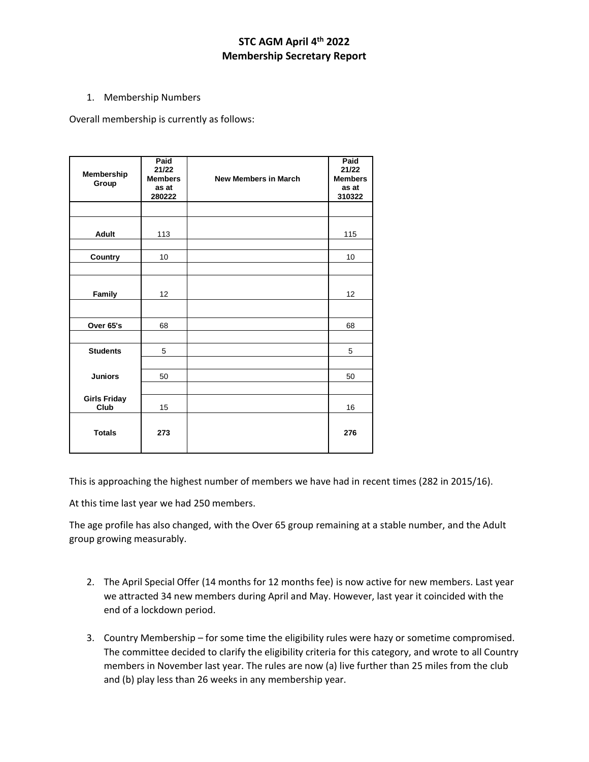## **STC AGM April 4th 2022 Membership Secretary Report**

## 1. Membership Numbers

Overall membership is currently as follows:

| Membership<br>Group         | Paid<br>21/22<br><b>Members</b><br>as at<br>280222 | <b>New Members in March</b> | Paid<br>21/22<br><b>Members</b><br>as at<br>310322 |
|-----------------------------|----------------------------------------------------|-----------------------------|----------------------------------------------------|
|                             |                                                    |                             |                                                    |
| <b>Adult</b>                | 113                                                |                             | 115                                                |
| Country                     | 10                                                 |                             | 10                                                 |
| Family                      | 12                                                 |                             | 12                                                 |
| Over 65's                   | 68                                                 |                             | 68                                                 |
| <b>Students</b>             | 5                                                  |                             | 5                                                  |
| <b>Juniors</b>              | 50                                                 |                             | 50                                                 |
| <b>Girls Friday</b><br>Club | 15                                                 |                             | 16                                                 |
| <b>Totals</b>               | 273                                                |                             | 276                                                |

This is approaching the highest number of members we have had in recent times (282 in 2015/16).

At this time last year we had 250 members.

The age profile has also changed, with the Over 65 group remaining at a stable number, and the Adult group growing measurably.

- 2. The April Special Offer (14 months for 12 months fee) is now active for new members. Last year we attracted 34 new members during April and May. However, last year it coincided with the end of a lockdown period.
- 3. Country Membership for some time the eligibility rules were hazy or sometime compromised. The committee decided to clarify the eligibility criteria for this category, and wrote to all Country members in November last year. The rules are now (a) live further than 25 miles from the club and (b) play less than 26 weeks in any membership year.